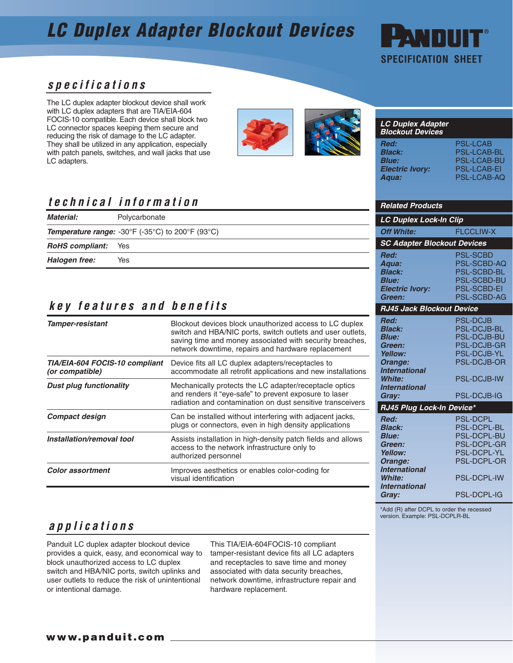## **LC Duplex Adapter Blockout Devices**



### **specifications**

The LC duplex adapter blockout device shall work with LC duplex adapters that are TIA/EIA-604 FOCIS-10 compatible. Each device shall block two LC connector spaces keeping them secure and reducing the risk of damage to the LC adapter. They shall be utilized in any application, especially with patch panels, switches, and wall jacks that use LC adapters.



#### **LC Duplex Adapter Blockout Devices Red:** PSL-LCAB **Black:** PSL-LCAB-BL **Blue:** PSL-LCAB-BU **Electric Ivory: Aqua:** PSL-LCAB-AQ

## **technical information**

| <b>Material:</b>       | Polycarbonate                                           |                               | <b>LC Duplex Lock-In Clip</b>            |  |  |
|------------------------|---------------------------------------------------------|-------------------------------|------------------------------------------|--|--|
|                        | <b>Temperature range:</b> -30°F (-35°C) to 200°F (93°C) | <b>Off White:</b>             | <b>FLCCLIW-X</b>                         |  |  |
| <b>RoHS</b> compliant: | Yes                                                     |                               | <b>SC Adapter Blockout Devices</b>       |  |  |
| Halogen free:          | Yes                                                     | Red:<br>Aaua:                 | <b>PSL-SCBD</b><br><b>PSL-SCBD-AC</b>    |  |  |
|                        |                                                         | <b>Black:</b><br><b>Blue:</b> | <b>PSL-SCBD-BL</b><br><b>PSL-SCBD-BU</b> |  |  |

### **key features and benefits**

| <b>Tamper-resistant</b>                           | Blockout devices block unauthorized access to LC duplex<br>switch and HBA/NIC ports, switch outlets and user outlets,<br>saving time and money associated with security breaches,<br>network downtime, repairs and hardware replacement |
|---------------------------------------------------|-----------------------------------------------------------------------------------------------------------------------------------------------------------------------------------------------------------------------------------------|
| TIA/EIA-604 FOCIS-10 compliant<br>(or compatible) | Device fits all LC duplex adapters/receptacles to<br>accommodate all retrofit applications and new installations                                                                                                                        |
| <b>Dust plug functionality</b>                    | Mechanically protects the LC adapter/receptacle optics<br>and renders it "eye-safe" to prevent exposure to laser<br>radiation and contamination on dust sensitive transceivers                                                          |
| <b>Compact design</b>                             | Can be installed without interfering with adjacent jacks,<br>plugs or connectors, even in high density applications                                                                                                                     |
| Installation/removal tool                         | Assists installation in high-density patch fields and allows<br>access to the network infrastructure only to<br>authorized personnel                                                                                                    |
| <b>Color assortment</b>                           | Improves aesthetics or enables color-coding for<br>visual identification                                                                                                                                                                |

### **Green:** PSL-SCBD-AG **RJ45 Jack Blockout Device**

**Blue:** PSL-SCBD-BU **Electric Ivory:** PSL-SCBD-EI

**Related Products**

| Red:                      | <b>PSL-DCJB</b>    |  |  |  |
|---------------------------|--------------------|--|--|--|
| <b>Black:</b>             | <b>PSL-DCJB-BL</b> |  |  |  |
| <b>Blue:</b>              | <b>PSL-DCJB-BU</b> |  |  |  |
| Green:                    | PSL-DCJB-GR        |  |  |  |
| Yellow:                   | <b>PSL-DCJB-YL</b> |  |  |  |
| Orange:                   | <b>PSL-DCJB-OR</b> |  |  |  |
| <b>International</b>      |                    |  |  |  |
| <b>White:</b>             | <b>PSL-DCJB-IW</b> |  |  |  |
| <b>International</b>      |                    |  |  |  |
| Gray:                     | <b>PSL-DCJB-IG</b> |  |  |  |
| RJ45 Plug Lock-In Device* |                    |  |  |  |
|                           |                    |  |  |  |
| Red:                      | <b>PSL-DCPL</b>    |  |  |  |
| <b>Black:</b>             | <b>PSL-DCPL-BL</b> |  |  |  |
| <b>Blue:</b>              | <b>PSL-DCPL-BU</b> |  |  |  |
| Green:                    | <b>PSL-DCPL-GR</b> |  |  |  |
| Yellow:                   | <b>PSL-DCPL-YL</b> |  |  |  |
| Orange:                   | <b>PSL-DCPL-OR</b> |  |  |  |
| <b>International</b>      |                    |  |  |  |
| <b>White:</b>             | <b>PSL-DCPL-IW</b> |  |  |  |
| <b>International</b>      |                    |  |  |  |

\*Add (R) after DCPL to order the recessed version. Example: PSL-DCPLR-BL

### **applications**

Panduit LC duplex adapter blockout device provides a quick, easy, and economical way to block unauthorized access to LC duplex switch and HBA/NIC ports, switch uplinks and user outlets to reduce the risk of unintentional or intentional damage.

This TIA/EIA-604FOCIS-10 compliant tamper-resistant device fits all LC adapters and receptacles to save time and money associated with data security breaches, network downtime, infrastructure repair and hardware replacement.